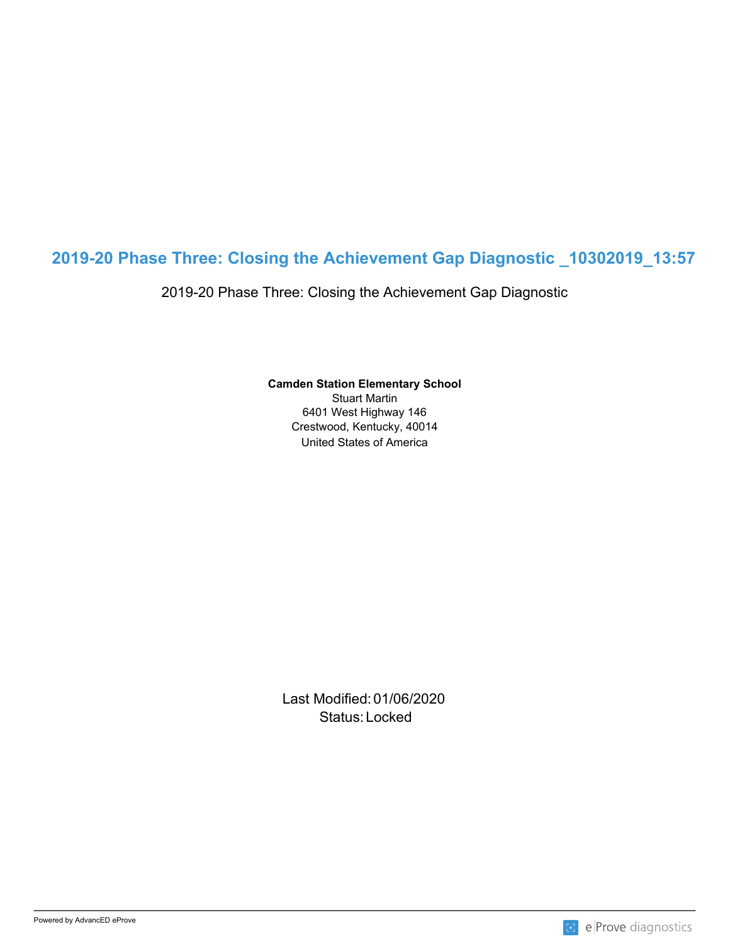# **2019-20 Phase Three: Closing the Achievement Gap Diagnostic \_10302019\_13:57**

2019-20 Phase Three: Closing the Achievement Gap Diagnostic

**Camden Station Elementary School**

United States of America Stuart Martin 6401 West Highway 146 Crestwood, Kentucky, 40014

Last Modified: 01/06/2020 Status: Locked and the status of the status of the status of the status of the status of the status of the status of the status of the status of the status of the status of the status of the status of the status of the sta

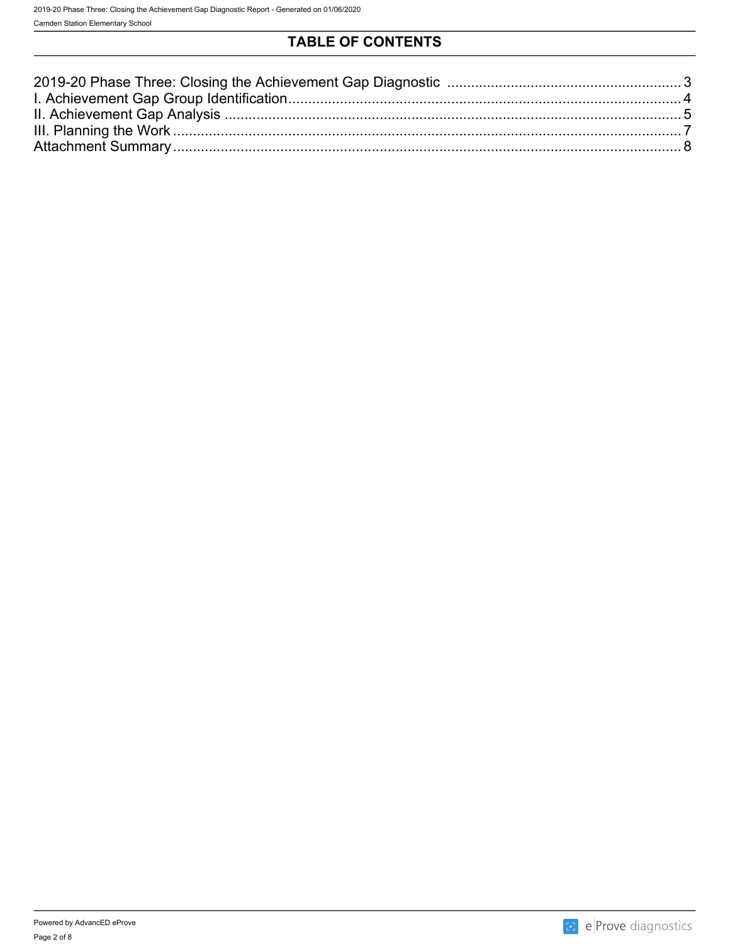## **TABLE OF CONTENTS**

| Attachment Summary |  |
|--------------------|--|
|                    |  |

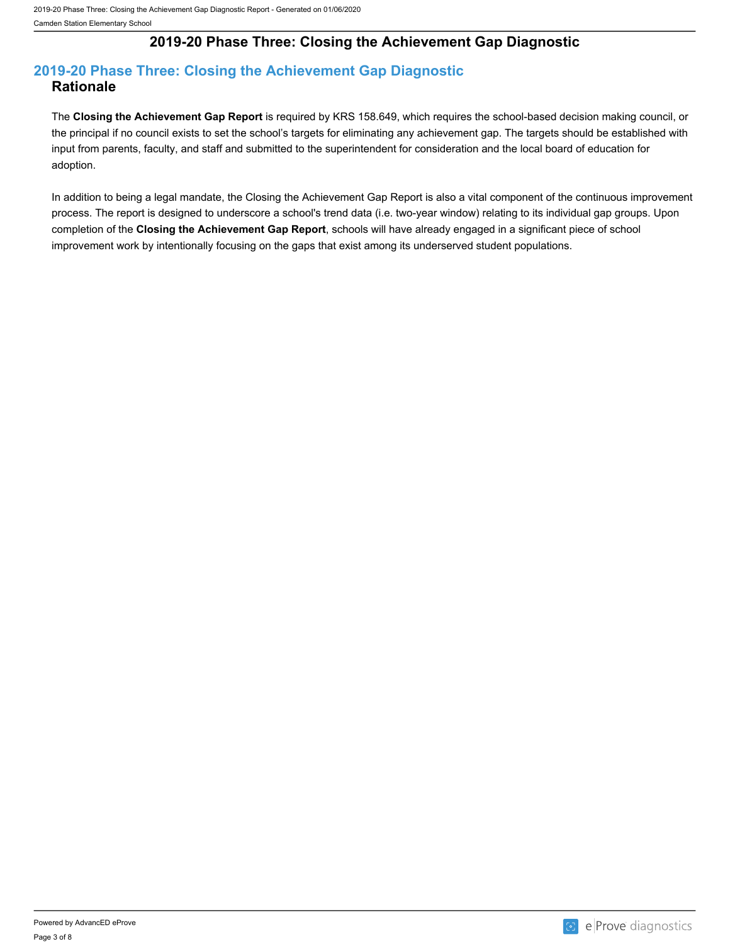## **2019-20 Phase Three: Closing the Achievement Gap Diagnostic**

### <span id="page-2-0"></span>**2019-20 Phase Three: Closing the Achievement Gap Diagnostic Rationale**

The **Closing the Achievement Gap Report** is required by KRS 158.649, which requires the school-based decision making council, or the principal if no council exists to set the school's targets for eliminating any achievement gap. The targets should be established with input from parents, faculty, and staff and submitted to the superintendent for consideration and the local board of education for adoption.

In addition to being a legal mandate, the Closing the Achievement Gap Report is also a vital component of the continuous improvement process. The report is designed to underscore a school's trend data (i.e. two-year window) relating to its individual gap groups. Upon completion of the **Closing the Achievement Gap Report**, schools will have already engaged in a significant piece of school improvement work by intentionally focusing on the gaps that exist among its underserved student populations.

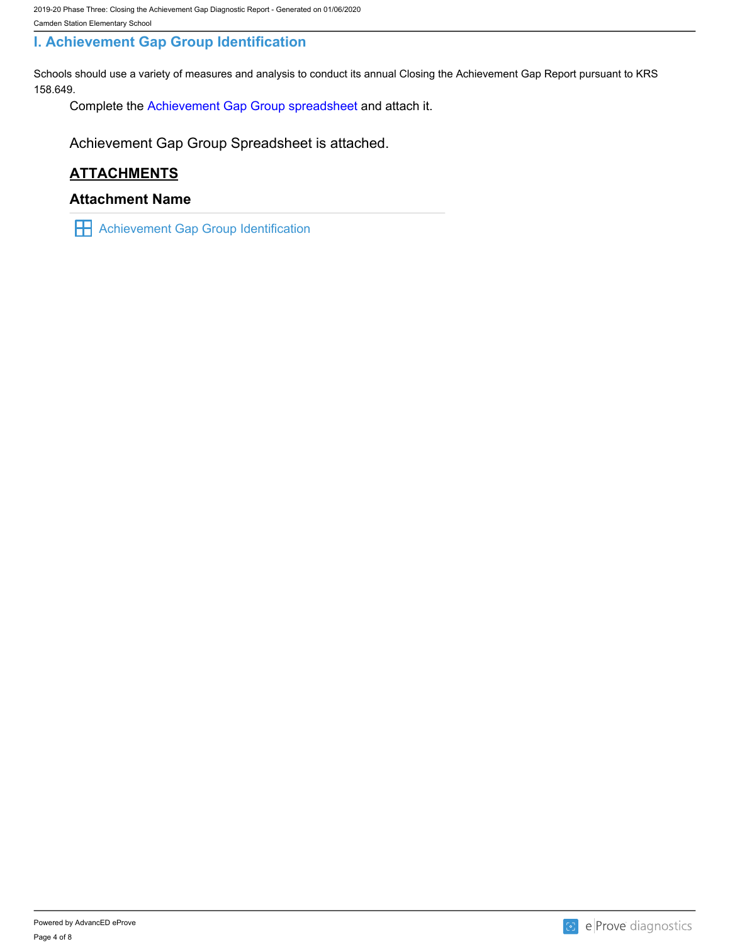### <span id="page-3-0"></span>**I. Achievement Gap Group Identification**

Schools should use a variety of measures and analysis to conduct its annual Closing the Achievement Gap Report pursuant to KRS 158.649.

Complete the [Achievement Gap Group spreadsheet a](https://drive.google.com/file/d/0B7A6n8V1dmUOWFNKY2dSTTFibjA/view?usp=sharing)nd attach it.

Achievement Gap Group Spreadsheet is attached.

## **ATTACHMENTS**

#### **Attachment Name**

**H** Achievement Gap Group Identification

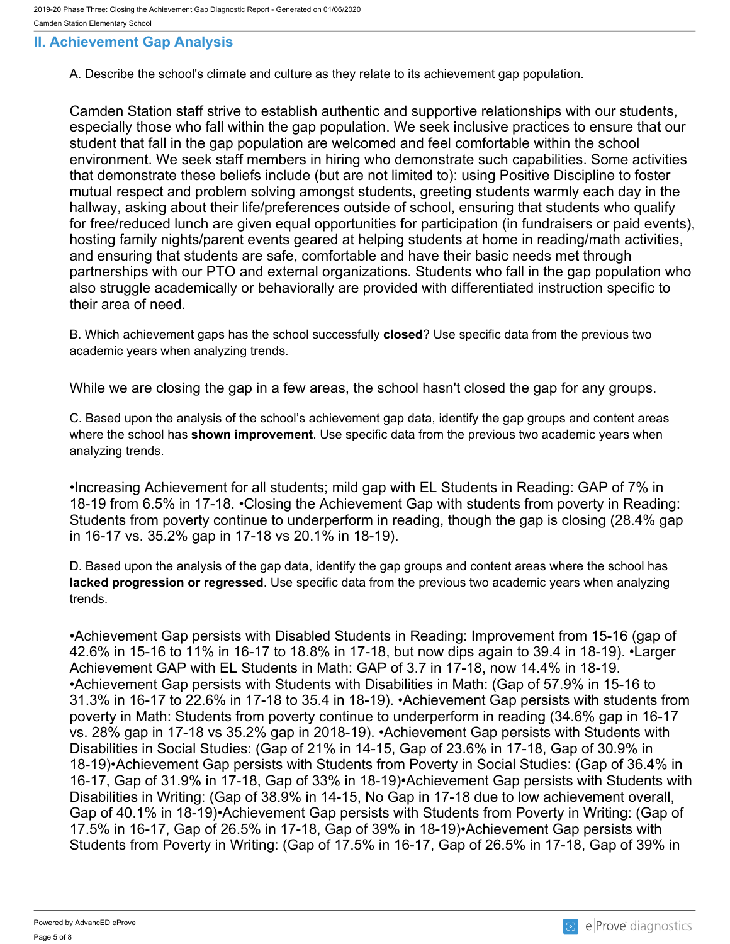### <span id="page-4-0"></span>**II. Achievement Gap Analysis**

A. Describe the school's climate and culture as they relate to its achievement gap population.

Camden Station staff strive to establish authentic and supportive relationships with our students, especially those who fall within the gap population. We seek inclusive practices to ensure that our student that fall in the gap population are welcomed and feel comfortable within the school environment. We seek staff members in hiring who demonstrate such capabilities. Some activities that demonstrate these beliefs include (but are not limited to): using Positive Discipline to foster mutual respect and problem solving amongst students, greeting students warmly each day in the hallway, asking about their life/preferences outside of school, ensuring that students who qualify for free/reduced lunch are given equal opportunities for participation (in fundraisers or paid events), hosting family nights/parent events geared at helping students at home in reading/math activities, and ensuring that students are safe, comfortable and have their basic needs met through partnerships with our PTO and external organizations. Students who fall in the gap population who also struggle academically or behaviorally are provided with differentiated instruction specific to their area of need.

B. Which achievement gaps has the school successfully **closed**? Use specific data from the previous two academic years when analyzing trends.

While we are closing the gap in a few areas, the school hasn't closed the gap for any groups.

C. Based upon the analysis of the school's achievement gap data, identify the gap groups and content areas where the school has **shown improvement**. Use specific data from the previous two academic years when analyzing trends.

•Increasing Achievement for all students; mild gap with EL Students in Reading: GAP of 7% in 18-19 from 6.5% in 17-18. •Closing the Achievement Gap with students from poverty in Reading: Students from poverty continue to underperform in reading, though the gap is closing (28.4% gap in 16-17 vs. 35.2% gap in 17-18 vs 20.1% in 18-19).

D. Based upon the analysis of the gap data, identify the gap groups and content areas where the school has **lacked progression or regressed**. Use specific data from the previous two academic years when analyzing trends.

•Achievement Gap persists with Disabled Students in Reading: Improvement from 15-16 (gap of 42.6% in 15-16 to 11% in 16-17 to 18.8% in 17-18, but now dips again to 39.4 in 18-19). •Larger Achievement GAP with EL Students in Math: GAP of 3.7 in 17-18, now 14.4% in 18-19. •Achievement Gap persists with Students with Disabilities in Math: (Gap of 57.9% in 15-16 to 31.3% in 16-17 to 22.6% in 17-18 to 35.4 in 18-19). •Achievement Gap persists with students from poverty in Math: Students from poverty continue to underperform in reading (34.6% gap in 16-17 vs. 28% gap in 17-18 vs 35.2% gap in 2018-19). •Achievement Gap persists with Students with Disabilities in Social Studies: (Gap of 21% in 14-15, Gap of 23.6% in 17-18, Gap of 30.9% in 18-19)•Achievement Gap persists with Students from Poverty in Social Studies: (Gap of 36.4% in 16-17, Gap of 31.9% in 17-18, Gap of 33% in 18-19)•Achievement Gap persists with Students with Disabilities in Writing: (Gap of 38.9% in 14-15, No Gap in 17-18 due to low achievement overall, Gap of 40.1% in 18-19)•Achievement Gap persists with Students from Poverty in Writing: (Gap of 17.5% in 16-17, Gap of 26.5% in 17-18, Gap of 39% in 18-19)•Achievement Gap persists with Students from Poverty in Writing: (Gap of 17.5% in 16-17, Gap of 26.5% in 17-18, Gap of 39% in

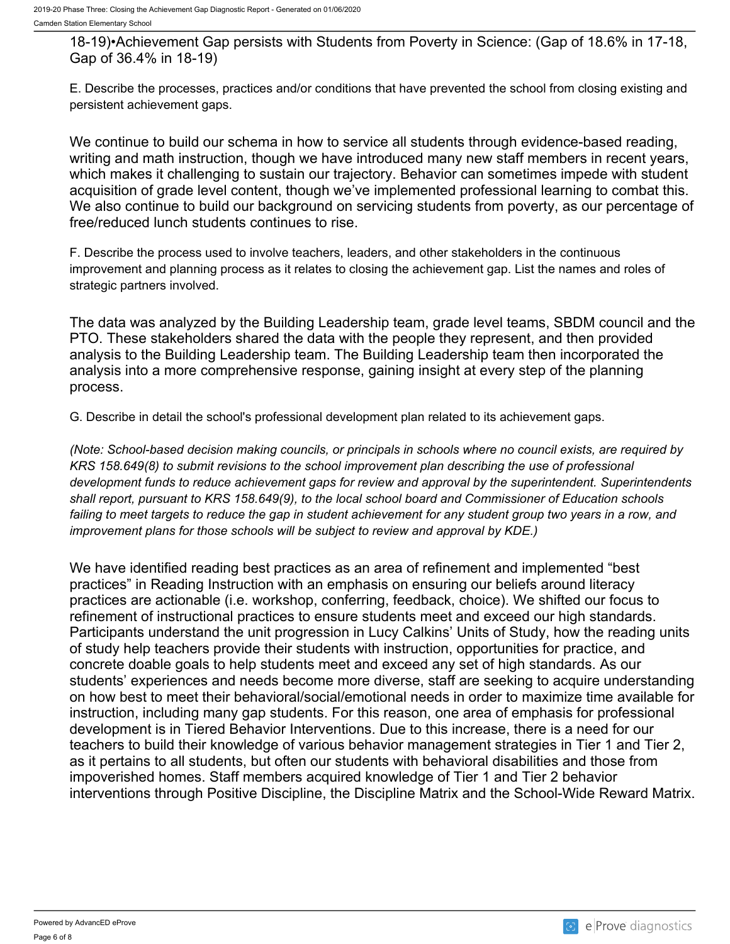18-19)•Achievement Gap persists with Students from Poverty in Science: (Gap of 18.6% in 17-18, Gap of 36.4% in 18-19)

E. Describe the processes, practices and/or conditions that have prevented the school from closing existing and persistent achievement gaps.

We continue to build our schema in how to service all students through evidence-based reading, writing and math instruction, though we have introduced many new staff members in recent years, which makes it challenging to sustain our trajectory. Behavior can sometimes impede with student acquisition of grade level content, though we've implemented professional learning to combat this. We also continue to build our background on servicing students from poverty, as our percentage of free/reduced lunch students continues to rise.

F. Describe the process used to involve teachers, leaders, and other stakeholders in the continuous improvement and planning process as it relates to closing the achievement gap. List the names and roles of strategic partners involved.

The data was analyzed by the Building Leadership team, grade level teams, SBDM council and the PTO. These stakeholders shared the data with the people they represent, and then provided analysis to the Building Leadership team. The Building Leadership team then incorporated the analysis into a more comprehensive response, gaining insight at every step of the planning process.

G. Describe in detail the school's professional development plan related to its achievement gaps.

*(Note: School-based decision making councils, or principals in schools where no council exists, are required by KRS 158.649(8) to submit revisions to the school improvement plan describing the use of professional development funds to reduce achievement gaps for review and approval by the superintendent. Superintendents shall report, pursuant to KRS 158.649(9), to the local school board and Commissioner of Education schools failing to meet targets to reduce the gap in student achievement for any student group two years in a row, and improvement plans for those schools will be subject to review and approval by KDE.)* 

We have identified reading best practices as an area of refinement and implemented "best practices" in Reading Instruction with an emphasis on ensuring our beliefs around literacy practices are actionable (i.e. workshop, conferring, feedback, choice). We shifted our focus to refinement of instructional practices to ensure students meet and exceed our high standards. Participants understand the unit progression in Lucy Calkins' Units of Study, how the reading units of study help teachers provide their students with instruction, opportunities for practice, and concrete doable goals to help students meet and exceed any set of high standards. As our students' experiences and needs become more diverse, staff are seeking to acquire understanding on how best to meet their behavioral/social/emotional needs in order to maximize time available for instruction, including many gap students. For this reason, one area of emphasis for professional development is in Tiered Behavior Interventions. Due to this increase, there is a need for our teachers to build their knowledge of various behavior management strategies in Tier 1 and Tier 2, as it pertains to all students, but often our students with behavioral disabilities and those from impoverished homes. Staff members acquired knowledge of Tier 1 and Tier 2 behavior interventions through Positive Discipline, the Discipline Matrix and the School-Wide Reward Matrix.

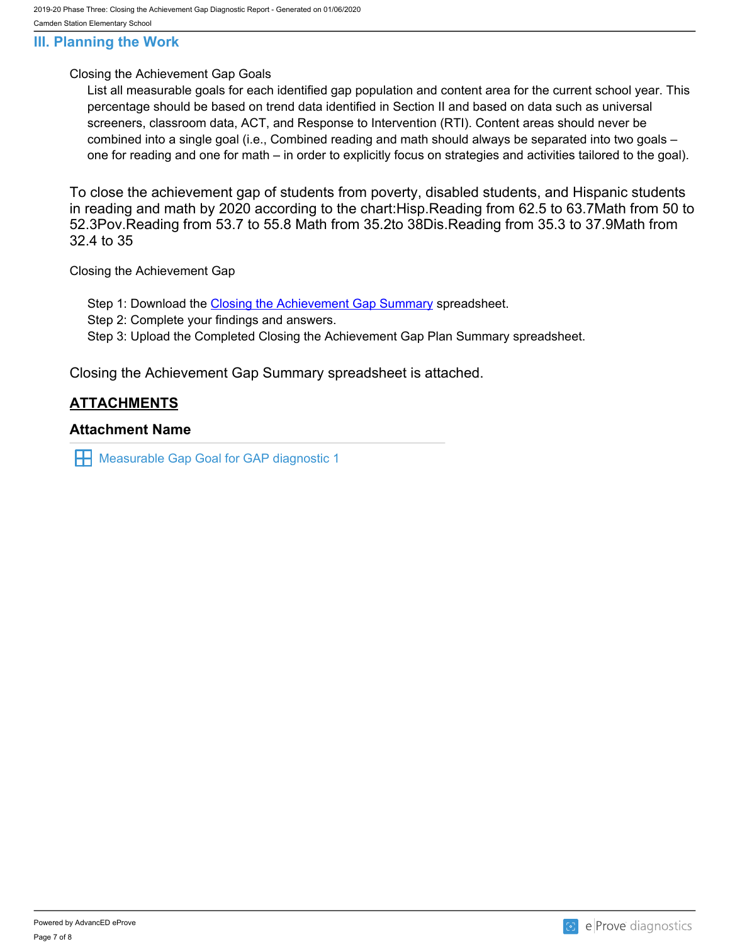#### <span id="page-6-0"></span>**III. Planning the Work**

#### Closing the Achievement Gap Goals

List all measurable goals for each identified gap population and content area for the current school year. This percentage should be based on trend data identified in Section II and based on data such as universal screeners, classroom data, ACT, and Response to Intervention (RTI). Content areas should never be combined into a single goal (i.e., Combined reading and math should always be separated into two goals – one for reading and one for math – in order to explicitly focus on strategies and activities tailored to the goal).

To close the achievement gap of students from poverty, disabled students, and Hispanic students in reading and math by 2020 according to the chart:Hisp.Reading from 62.5 to 63.7Math from 50 to 52.3Pov.Reading from 53.7 to 55.8 Math from 35.2to 38Dis.Reading from 35.3 to 37.9Math from 32.4 to 35

Closing the Achievement Gap

Step 1: Download the [Closing the Achievement Gap Summary](https://drive.google.com/file/d/0B6i22i6omk4ySmUtTHZuSVRFazQ/view) spreadsheet.

Step 2: Complete your findings and answers.

Step 3: Upload the Completed Closing the Achievement Gap Plan Summary spreadsheet.

Closing the Achievement Gap Summary spreadsheet is attached.

#### **ATTACHMENTS**

#### **Attachment Name**

**H** Measurable Gap Goal for GAP diagnostic 1